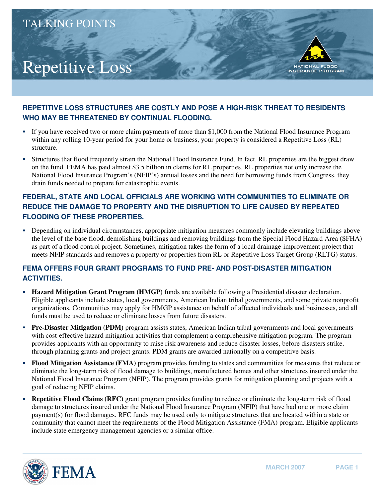## Repetitive Loss



- � If you have received two or more claim payments of more than \$1,000 from the National Flood Insurance Program within any rolling 10-year period for your home or business, your property is considered a Repetitive Loss (RL) structure.
- � Structures that flood frequently strain the National Flood Insurance Fund. In fact, RL properties are the biggest draw on the fund. FEMA has paid almost \$3.5 billion in claims for RL properties. RL properties not only increase the National Flood Insurance Program's (NFIP's) annual losses and the need for borrowing funds from Congress, they drain funds needed to prepare for catastrophic events.

## **FEDERAL, STATE AND LOCAL OFFICIALS ARE WORKING WITH COMMUNITIES TO ELIMINATE OR REDUCE THE DAMAGE TO PROPERTY AND THE DISRUPTION TO LIFE CAUSED BY REPEATED FLOODING OF THESE PROPERTIES.**

� Depending on individual circumstances, appropriate mitigation measures commonly include elevating buildings above the level of the base flood, demolishing buildings and removing buildings from the Special Flood Hazard Area (SFHA) as part of a flood control project. Sometimes, mitigation takes the form of a local drainage-improvement project that meets NFIP standards and removes a property or properties from RL or Repetitive Loss Target Group (RLTG) status.

## **FEMA OFFERS FOUR GRANT PROGRAMS TO FUND PRE- AND POST-DISASTER MITIGATION ACTIVITIES.**

- **Hazard Mitigation Grant Program (HMGP)** funds are available following a Presidential disaster declaration. Eligible applicants include states, local governments, American Indian tribal governments, and some private nonprofit organizations. Communities may apply for HMGP assistance on behalf of affected individuals and businesses, and all funds must be used to reduce or eliminate losses from future disasters.
- **Pre-Disaster Mitigation (PDM)** program assists states, American Indian tribal governments and local governments with cost-effective hazard mitigation activities that complement a comprehensive mitigation program. The program provides applicants with an opportunity to raise risk awareness and reduce disaster losses, before disasters strike, through planning grants and project grants. PDM grants are awarded nationally on a competitive basis.
- � **Flood Mitigation Assistance (FMA)** program provides funding to states and communities for measures that reduce or eliminate the long-term risk of flood damage to buildings, manufactured homes and other structures insured under the National Flood Insurance Program (NFIP). The program provides grants for mitigation planning and projects with a goal of reducing NFIP claims.
- **Repetitive Flood Claims (RFC)** grant program provides funding to reduce or eliminate the long-term risk of flood damage to structures insured under the National Flood Insurance Program (NFIP) that have had one or more claim payment(s) for flood damages. RFC funds may be used only to mitigate structures that are located within a state or community that cannot meet the requirements of the Flood Mitigation Assistance (FMA) program. Eligible applicants include state emergency management agencies or a similar office.



**NATIONAL** 

INSURANCE PROGRAM

**FLOOD**